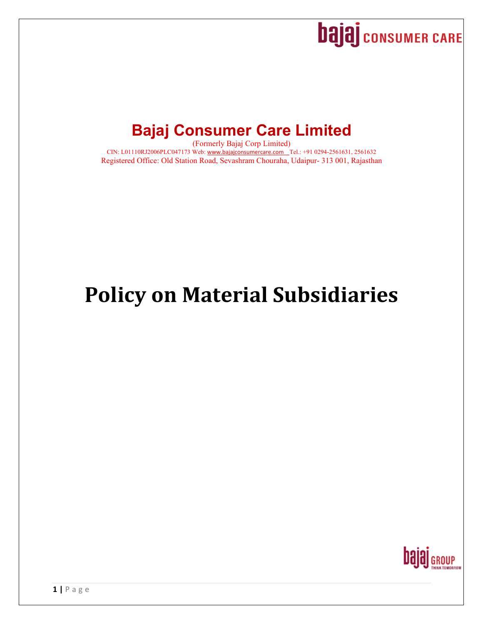

## **Bajaj Consumer Care Limited**

(Formerly Bajaj Corp Limited) CIN: L01110RJ2006PLC047173 Web: www.bajajconsumercare.com Tel.: +91 0294-2561631, 2561632 Registered Office: Old Station Road, Sevashram Chouraha, Udaipur- 313 001, Rajasthan

# **Policy on Material Subsidiaries**

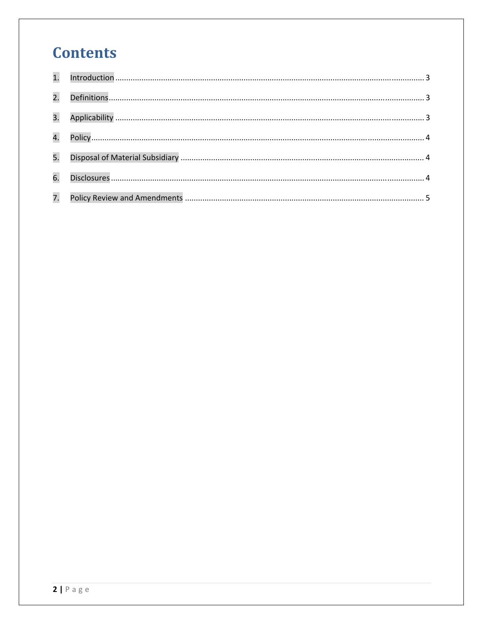## **Contents**

| 2. |  |
|----|--|
| 3. |  |
|    |  |
| 5. |  |
| 6. |  |
| 7. |  |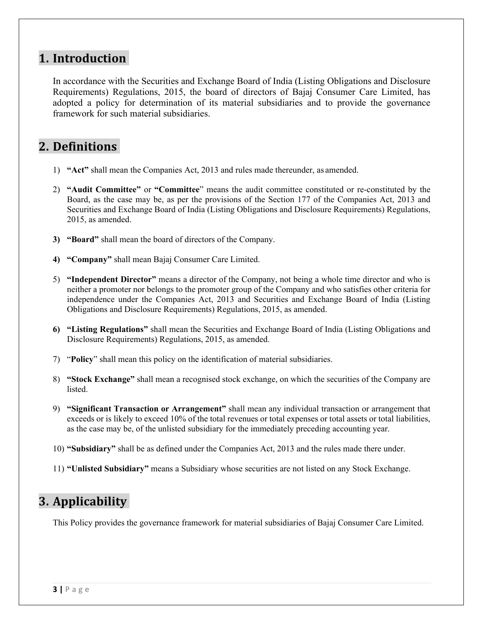#### 1. **Introduction**

In accordance with the Securities and Exchange Board of India (Listing Obligations and Disclosure Requirements) Regulations, 2015, the board of directors of Bajaj Consumer Care Limited, has adopted a policy for determination of its material subsidiaries and to provide the governance framework for such material subsidiaries.

#### **2. Definitions**

- 1) **"Act"** shall mean the Companies Act, 2013 and rules made thereunder, as amended.
- 2) **"Audit Committee"** or **"Committee**" means the audit committee constituted or re-constituted by the Board, as the case may be, as per the provisions of the Section 177 of the Companies Act, 2013 and Securities and Exchange Board of India (Listing Obligations and Disclosure Requirements) Regulations, 2015, as amended.
- **3) "Board"** shall mean the board of directors of the Company.
- **4) "Company"** shall mean Bajaj Consumer Care Limited.
- 5) **"Independent Director"** means a director of the Company, not being a whole time director and who is neither a promoter nor belongs to the promoter group of the Company and who satisfies other criteria for independence under the Companies Act, 2013 and Securities and Exchange Board of India (Listing Obligations and Disclosure Requirements) Regulations, 2015, as amended.
- **6) "Listing Regulations"** shall mean the Securities and Exchange Board of India (Listing Obligations and Disclosure Requirements) Regulations, 2015, as amended.
- 7) "**Policy**" shall mean this policy on the identification of material subsidiaries.
- 8) **"Stock Exchange"** shall mean a recognised stock exchange, on which the securities of the Company are listed.
- 9) **"Significant Transaction or Arrangement"** shall mean any individual transaction or arrangement that exceeds or is likely to exceed 10% of the total revenues or total expenses or total assets or total liabilities, as the case may be, of the unlisted subsidiary for the immediately preceding accounting year.
- 10) **"Subsidiary"** shall be as defined under the Companies Act, 2013 and the rules made there under.
- 11) **"Unlisted Subsidiary"** means a Subsidiary whose securities are not listed on any Stock Exchange.

### **3.** Applicability

This Policy provides the governance framework for material subsidiaries of Bajaj Consumer Care Limited.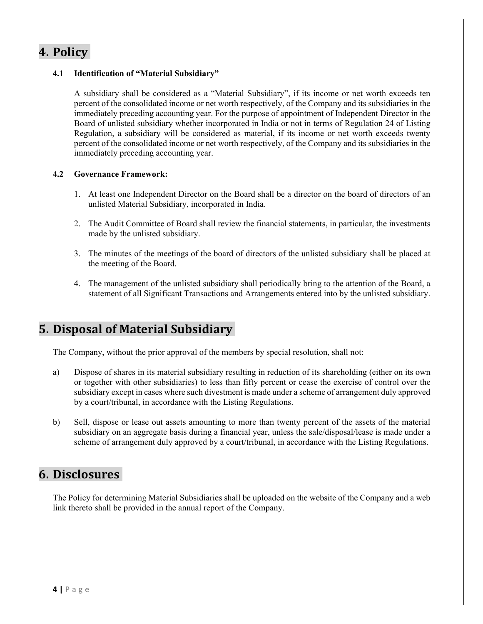#### **4. Policy**

#### **4.1 Identification of "Material Subsidiary"**

A subsidiary shall be considered as a "Material Subsidiary", if its income or net worth exceeds ten percent of the consolidated income or net worth respectively, of the Company and its subsidiaries in the immediately preceding accounting year. For the purpose of appointment of Independent Director in the Board of unlisted subsidiary whether incorporated in India or not in terms of Regulation 24 of Listing Regulation, a subsidiary will be considered as material, if its income or net worth exceeds twenty percent of the consolidated income or net worth respectively, of the Company and its subsidiaries in the immediately preceding accounting year.

#### **4.2 Governance Framework:**

- 1. At least one Independent Director on the Board shall be a director on the board of directors of an unlisted Material Subsidiary, incorporated in India.
- 2. The Audit Committee of Board shall review the financial statements, in particular, the investments made by the unlisted subsidiary.
- 3. The minutes of the meetings of the board of directors of the unlisted subsidiary shall be placed at the meeting of the Board.
- 4. The management of the unlisted subsidiary shall periodically bring to the attention of the Board, a statement of all Significant Transactions and Arrangements entered into by the unlisted subsidiary.

#### **5. Disposal of Material Subsidiary**

The Company, without the prior approval of the members by special resolution, shall not:

- a) Dispose of shares in its material subsidiary resulting in reduction of its shareholding (either on its own or together with other subsidiaries) to less than fifty percent or cease the exercise of control over the subsidiary except in cases where such divestment is made under a scheme of arrangement duly approved by a court/tribunal, in accordance with the Listing Regulations.
- b) Sell, dispose or lease out assets amounting to more than twenty percent of the assets of the material subsidiary on an aggregate basis during a financial year, unless the sale/disposal/lease is made under a scheme of arrangement duly approved by a court/tribunal, in accordance with the Listing Regulations.

### **6. Disclosures**

The Policy for determining Material Subsidiaries shall be uploaded on the website of the Company and a web link thereto shall be provided in the annual report of the Company.